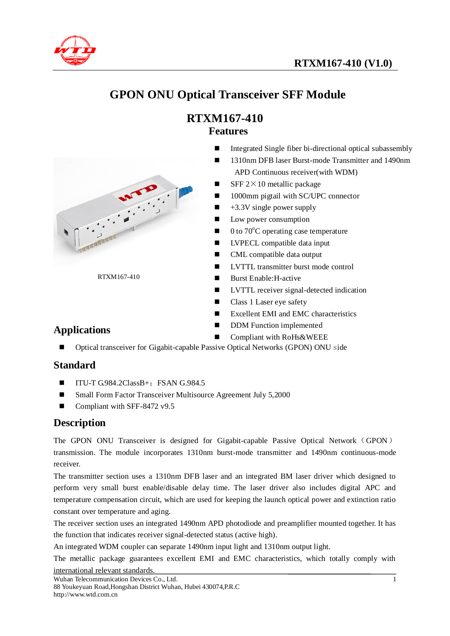

# **GPON ONU Optical Transceiver SFF Module**

### **RTXM167-410 Features**

- Integrated Single fiber bi-directional optical subassembly
- 1310nm DFB laser Burst-mode Transmitter and 1490nm APD Continuous receiver(with WDM)
- **SFF**  $2 \times 10$  metallic package
- 1000mm pigtail with SC/UPC connector
- $\blacksquare$  +3.3V single power supply
- **Low power consumption**
- $\blacksquare$  0 to 70<sup>o</sup>C operating case temperature
- **LVPECL** compatible data input
- CML compatible data output
- **LVTTL** transmitter burst mode control
- Burst Enable: H-active
- **LVTTL** receiver signal-detected indication
- Class 1 Laser eye safety
- **EXCELLENT AND EMC characteristics**
- **DDM** Function implemented
	- Compliant with RoHs&WEEE
- **Applications**
	- Optical transceiver for Gigabit-capable Passive Optical Networks (GPON) ONU side

#### **Standard**

- $\blacksquare$  ITU-T G.984.2ClassB+; FSAN G.984.5
- Small Form Factor Transceiver Multisource Agreement July 5,2000
- Compliant with SFF-8472 v9.5

RTXM167-410

#### **Description**

The GPON ONU Transceiver is designed for Gigabit-capable Passive Optical Network (GPON) transmission. The module incorporates 1310nm burst-mode transmitter and 1490nm continuous-mode receiver.

The transmitter section uses a 1310nm DFB laser and an integrated BM laser driver which designed to perform very small burst enable/disable delay time. The laser driver also includes digital APC and temperature compensation circuit, which are used for keeping the launch optical power and extinction ratio constant over temperature and aging.

The receiver section uses an integrated 1490nm APD photodiode and preamplifier mounted together. It has the function that indicates receiver signal-detected status (active high).

An integrated WDM coupler can separate 1490nm input light and 1310nm output light.

The metallic package guarantees excellent EMI and EMC characteristics, which totally comply with international relevant standards.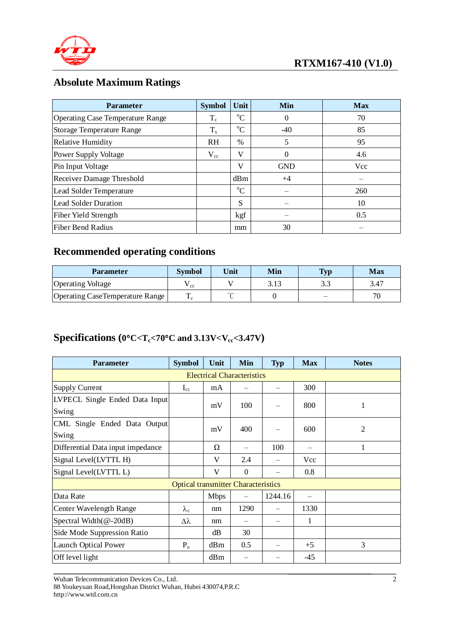

## **Absolute Maximum Ratings**

| <b>Parameter</b>                        | <b>Symbol</b> | Unit          | Min        | <b>Max</b> |
|-----------------------------------------|---------------|---------------|------------|------------|
| <b>Operating Case Temperature Range</b> | $T_c$         | $\rm{^o}C$    | 0          | 70         |
| <b>Storage Temperature Range</b>        | $T_{s}$       | $^{\circ}C$   | $-40$      | 85         |
| <b>Relative Humidity</b>                | <b>RH</b>     | $\frac{0}{0}$ | 5          | 95         |
| <b>Power Supply Voltage</b>             | $V_{cc}$      | V             | $\theta$   | 4.6        |
| Pin Input Voltage                       |               | V             | <b>GND</b> | <b>Vcc</b> |
| Receiver Damage Threshold               |               | dBm           | $+4$       |            |
| Lead Solder Temperature                 |               | $\rm ^{o}C$   |            | 260        |
| <b>Lead Solder Duration</b>             |               | <sub>S</sub>  |            | 10         |
| Fiber Yield Strength                    |               | kgf           |            | 0.5        |
| Fiber Bend Radius                       |               | mm            | 30         |            |

## **Recommended operating conditions**

| Parameter                       | <b>Symbol</b> | Unit    | Min  | $T_{\rm vn}$ | <b>Max</b> |
|---------------------------------|---------------|---------|------|--------------|------------|
| <b>Operating Voltage</b>        | ' cc          |         | 3.13 | $\Omega$     | 3.47       |
| Operating CaseTemperature Range |               | $\circ$ |      |              |            |

## **Specifications (0C<Tc<70C and 3.13V<Vcc<3.47V)**

| <b>Parameter</b>                           | <b>Symbol</b>     | Unit        | Min      | <b>Typ</b> | <b>Max</b> | <b>Notes</b>   |  |  |  |
|--------------------------------------------|-------------------|-------------|----------|------------|------------|----------------|--|--|--|
| <b>Electrical Characteristics</b>          |                   |             |          |            |            |                |  |  |  |
| <b>Supply Current</b>                      | $I_{cc}$          | mA          |          |            | 300        |                |  |  |  |
| LVPECL Single Ended Data Input             |                   | mV          | 100      |            | 800        | 1              |  |  |  |
| Swing                                      |                   |             |          |            |            |                |  |  |  |
| CML Single Ended Data Output               |                   | mV          | 400      |            | 600        | $\overline{2}$ |  |  |  |
| Swing                                      |                   |             |          |            |            |                |  |  |  |
| Differential Data input impedance          |                   | Ω           |          | 100        |            | 1              |  |  |  |
| Signal Level(LVTTL H)                      |                   | V           | 2.4      |            | Vcc        |                |  |  |  |
| Signal Level(LVTTL L)                      |                   | V           | $\Omega$ |            | 0.8        |                |  |  |  |
| <b>Optical transmitter Characteristics</b> |                   |             |          |            |            |                |  |  |  |
| Data Rate                                  |                   | <b>Mbps</b> |          | 1244.16    |            |                |  |  |  |
| <b>Center Wavelength Range</b>             | $\lambda_{\rm c}$ | nm          | 1290     |            | 1330       |                |  |  |  |
| Spectral Width $(\omega$ -20dB)            | Δλ                | nm          |          |            | 1          |                |  |  |  |
| Side Mode Suppression Ratio                |                   | dB          | 30       |            |            |                |  |  |  |
| <b>Launch Optical Power</b>                | $P_{o}$           | dBm         | 0.5      |            | $+5$       | 3              |  |  |  |
| Off level light                            |                   | dBm         |          |            | $-45$      |                |  |  |  |

Wuhan Telecommunication Devices Co., Ltd.

<sup>88</sup> Youkeyuan Road,Hongshan District Wuhan, Hubei 430074,P.R.C http://www.wtd.com.cn